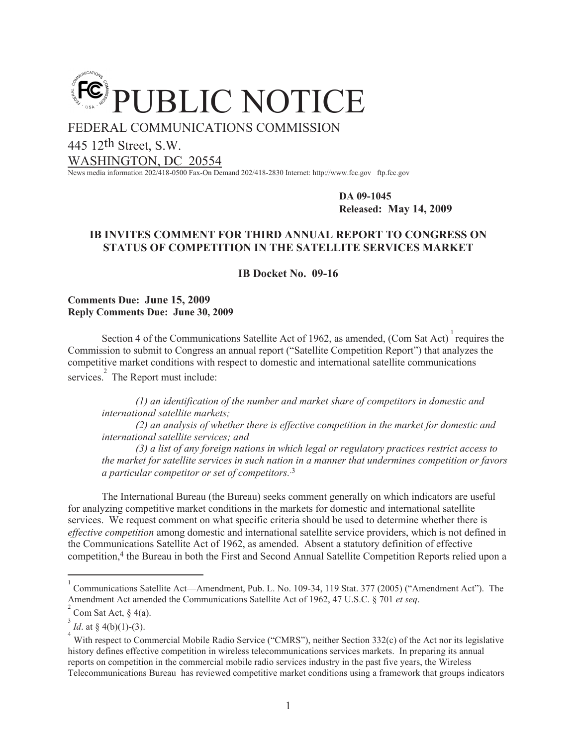

FEDERAL COMMUNICATIONS COMMISSION

445 12th Street, S.W.

WASHINGTON, DC 20554

News media information 202/418-0500 Fax-On Demand 202/418-2830 Internet: http://www.fcc.gov ftp.fcc.gov

**DA 09-1045 Released: May 14, 2009**

# **IB INVITES COMMENT FOR THIRD ANNUAL REPORT TO CONGRESS ON STATUS OF COMPETITION IN THE SATELLITE SERVICES MARKET**

**IB Docket No. 09-16**

**Comments Due: June 15, 2009 Reply Comments Due: June 30, 2009**

Section 4 of the Communications Satellite Act of 1962, as amended, (Com Sat Act) requires the Commission to submit to Congress an annual report ("Satellite Competition Report") that analyzes the competitive market conditions with respect to domestic and international satellite communications services.<sup>2</sup> The Report must include:

*(1) an identification of the number and market share of competitors in domestic and international satellite markets;* 

*(2) an analysis of whether there is effective competition in the market for domestic and international satellite services; and*

*(3) a list of any foreign nations in which legal or regulatory practices restrict access to the market for satellite services in such nation in a manner that undermines competition or favors a particular competitor or set of competitors.*.3

The International Bureau (the Bureau) seeks comment generally on which indicators are useful for analyzing competitive market conditions in the markets for domestic and international satellite services. We request comment on what specific criteria should be used to determine whether there is *effective competition* among domestic and international satellite service providers, which is not defined in the Communications Satellite Act of 1962, as amended. Absent a statutory definition of effective competition,<sup>4</sup> the Bureau in both the First and Second Annual Satellite Competition Reports relied upon a

<sup>1</sup> Communications Satellite Act—Amendment, Pub. L. No. 109-34, 119 Stat. 377 (2005) ("Amendment Act"). The Amendment Act amended the Communications Satellite Act of 1962, 47 U.S.C. § 701 *et seq*.

<sup>2</sup> Com Sat Act, § 4(a).

<sup>3</sup> *Id.* at § 4(b)(1)-(3).

<sup>4</sup> With respect to Commercial Mobile Radio Service ("CMRS"), neither Section 332(c) of the Act nor its legislative history defines effective competition in wireless telecommunications services markets. In preparing its annual reports on competition in the commercial mobile radio services industry in the past five years, the Wireless Telecommunications Bureau has reviewed competitive market conditions using a framework that groups indicators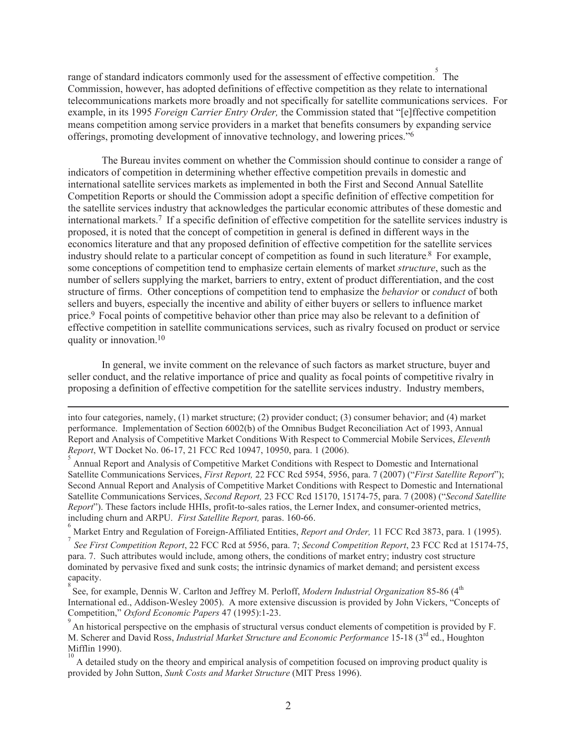range of standard indicators commonly used for the assessment of effective competition. The Commission, however, has adopted definitions of effective competition as they relate to international telecommunications markets more broadly and not specifically for satellite communications services. For example, in its 1995 *Foreign Carrier Entry Order,* the Commission stated that "[e]ffective competition means competition among service providers in a market that benefits consumers by expanding service offerings, promoting development of innovative technology, and lowering prices."<sup>6</sup>

The Bureau invites comment on whether the Commission should continue to consider a range of indicators of competition in determining whether effective competition prevails in domestic and international satellite services markets as implemented in both the First and Second Annual Satellite Competition Reports or should the Commission adopt a specific definition of effective competition for the satellite services industry that acknowledges the particular economic attributes of these domestic and international markets.<sup>7</sup> If a specific definition of effective competition for the satellite services industry is proposed, it is noted that the concept of competition in general is defined in different ways in the economics literature and that any proposed definition of effective competition for the satellite services industry should relate to a particular concept of competition as found in such literature. <sup>8</sup> For example, some conceptions of competition tend to emphasize certain elements of market *structure*, such as the number of sellers supplying the market, barriers to entry, extent of product differentiation, and the cost structure of firms. Other conceptions of competition tend to emphasize the *behavior* or *conduct* of both sellers and buyers, especially the incentive and ability of either buyers or sellers to influence market price.<sup>9</sup> Focal points of competitive behavior other than price may also be relevant to a definition of effective competition in satellite communications services, such as rivalry focused on product or service quality or innovation.<sup>10</sup>

In general, we invite comment on the relevance of such factors as market structure, buyer and seller conduct, and the relative importance of price and quality as focal points of competitive rivalry in proposing a definition of effective competition for the satellite services industry. Industry members,

into four categories, namely, (1) market structure; (2) provider conduct; (3) consumer behavior; and (4) market performance. Implementation of Section 6002(b) of the Omnibus Budget Reconciliation Act of 1993, Annual Report and Analysis of Competitive Market Conditions With Respect to Commercial Mobile Services, *Eleventh Report*, WT Docket No. 06-17, 21 FCC Rcd 10947, 10950, para. 1 (2006).

5 Annual Report and Analysis of Competitive Market Conditions with Respect to Domestic and International Satellite Communications Services, *First Report,* 22 FCC Rcd 5954, 5956, para. 7 (2007) ("*First Satellite Report*"); Second Annual Report and Analysis of Competitive Market Conditions with Respect to Domestic and International Satellite Communications Services, *Second Report,* 23 FCC Rcd 15170, 15174-75, para. 7 (2008) ("*Second Satellite Report*"). These factors include HHIs, profit-to-sales ratios, the Lerner Index, and consumer-oriented metrics, including churn and ARPU. *First Satellite Report,* paras. 160-66.

6 Market Entry and Regulation of Foreign-Affiliated Entities, *Report and Order,* 11 FCC Rcd 3873, para. 1 (1995).

7 *See First Competition Report*, 22 FCC Rcd at 5956, para. 7; *Second Competition Report*, 23 FCC Rcd at 15174-75, para. 7. Such attributes would include, among others, the conditions of market entry; industry cost structure dominated by pervasive fixed and sunk costs; the intrinsic dynamics of market demand; and persistent excess capacity.

<sup>8</sup> See, for example, Dennis W. Carlton and Jeffrey M. Perloff, *Modern Industrial Organization* 85-86 (4<sup>th</sup> International ed., Addison-Wesley 2005). A more extensive discussion is provided by John Vickers, "Concepts of Competition," *Oxford Economic Papers* 47 (1995):1-23.

9 An historical perspective on the emphasis of structural versus conduct elements of competition is provided by F. M. Scherer and David Ross, *Industrial Market Structure and Economic Performance* 15-18 (3rd ed., Houghton Mifflin 1990).

<sup>10</sup> A detailed study on the theory and empirical analysis of competition focused on improving product quality is provided by John Sutton, *Sunk Costs and Market Structure* (MIT Press 1996).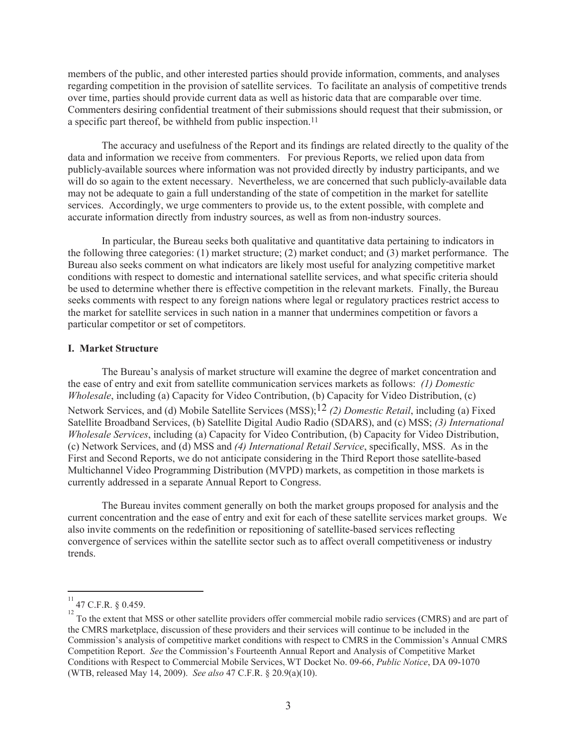members of the public, and other interested parties should provide information, comments, and analyses regarding competition in the provision of satellite services. To facilitate an analysis of competitive trends over time, parties should provide current data as well as historic data that are comparable over time. Commenters desiring confidential treatment of their submissions should request that their submission, or a specific part thereof, be withheld from public inspection.<sup>11</sup>

The accuracy and usefulness of the Report and its findings are related directly to the quality of the data and information we receive from commenters. For previous Reports, we relied upon data from publicly-available sources where information was not provided directly by industry participants, and we will do so again to the extent necessary. Nevertheless, we are concerned that such publicly-available data may not be adequate to gain a full understanding of the state of competition in the market for satellite services. Accordingly, we urge commenters to provide us, to the extent possible, with complete and accurate information directly from industry sources, as well as from non-industry sources.

In particular, the Bureau seeks both qualitative and quantitative data pertaining to indicators in the following three categories: (1) market structure; (2) market conduct; and (3) market performance. The Bureau also seeks comment on what indicators are likely most useful for analyzing competitive market conditions with respect to domestic and international satellite services, and what specific criteria should be used to determine whether there is effective competition in the relevant markets. Finally, the Bureau seeks comments with respect to any foreign nations where legal or regulatory practices restrict access to the market for satellite services in such nation in a manner that undermines competition or favors a particular competitor or set of competitors.

## **I. Market Structure**

The Bureau's analysis of market structure will examine the degree of market concentration and the ease of entry and exit from satellite communication services markets as follows: *(1) Domestic Wholesale*, including (a) Capacity for Video Contribution, (b) Capacity for Video Distribution, (c) Network Services, and (d) Mobile Satellite Services (MSS);12 *(2) Domestic Retail*, including (a) Fixed Satellite Broadband Services, (b) Satellite Digital Audio Radio (SDARS), and (c) MSS; *(3) International Wholesale Services*, including (a) Capacity for Video Contribution, (b) Capacity for Video Distribution, (c) Network Services, and (d) MSS and *(4) International Retail Service*, specifically, MSS. As in the First and Second Reports, we do not anticipate considering in the Third Report those satellite-based Multichannel Video Programming Distribution (MVPD) markets, as competition in those markets is currently addressed in a separate Annual Report to Congress.

The Bureau invites comment generally on both the market groups proposed for analysis and the current concentration and the ease of entry and exit for each of these satellite services market groups. We also invite comments on the redefinition or repositioning of satellite-based services reflecting convergence of services within the satellite sector such as to affect overall competitiveness or industry trends.

<sup>11</sup> 47 C.F.R. § 0.459.

 $12$  To the extent that MSS or other satellite providers offer commercial mobile radio services (CMRS) and are part of the CMRS marketplace, discussion of these providers and their services will continue to be included in the Commission's analysis of competitive market conditions with respect to CMRS in the Commission's Annual CMRS Competition Report. *See* the Commission's Fourteenth Annual Report and Analysis of Competitive Market Conditions with Respect to Commercial Mobile Services, WT Docket No. 09-66, *Public Notice*, DA 09-1070 (WTB, released May 14, 2009). *See also* 47 C.F.R. § 20.9(a)(10).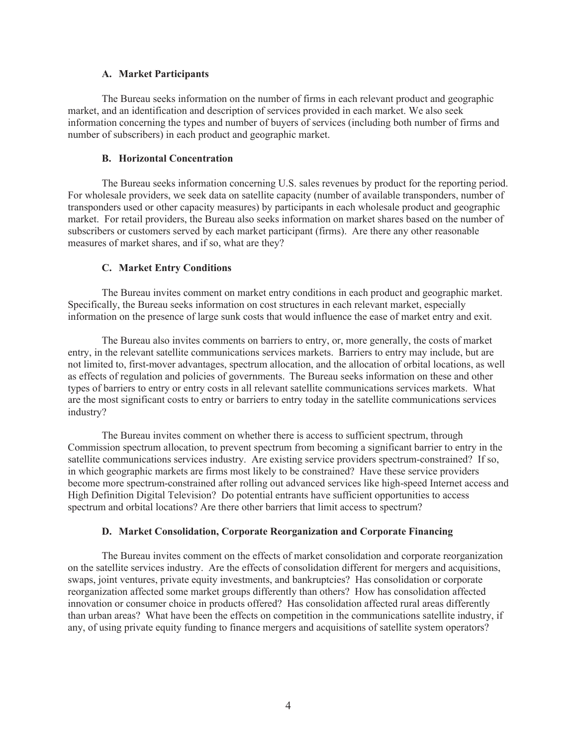## **A. Market Participants**

The Bureau seeks information on the number of firms in each relevant product and geographic market, and an identification and description of services provided in each market. We also seek information concerning the types and number of buyers of services (including both number of firms and number of subscribers) in each product and geographic market.

# **B. Horizontal Concentration**

The Bureau seeks information concerning U.S. sales revenues by product for the reporting period. For wholesale providers, we seek data on satellite capacity (number of available transponders, number of transponders used or other capacity measures) by participants in each wholesale product and geographic market. For retail providers, the Bureau also seeks information on market shares based on the number of subscribers or customers served by each market participant (firms). Are there any other reasonable measures of market shares, and if so, what are they?

# **C. Market Entry Conditions**

The Bureau invites comment on market entry conditions in each product and geographic market. Specifically, the Bureau seeks information on cost structures in each relevant market, especially information on the presence of large sunk costs that would influence the ease of market entry and exit.

The Bureau also invites comments on barriers to entry, or, more generally, the costs of market entry, in the relevant satellite communications services markets. Barriers to entry may include, but are not limited to, first-mover advantages, spectrum allocation, and the allocation of orbital locations, as well as effects of regulation and policies of governments. The Bureau seeks information on these and other types of barriers to entry or entry costs in all relevant satellite communications services markets. What are the most significant costs to entry or barriers to entry today in the satellite communications services industry?

The Bureau invites comment on whether there is access to sufficient spectrum, through Commission spectrum allocation, to prevent spectrum from becoming a significant barrier to entry in the satellite communications services industry. Are existing service providers spectrum-constrained? If so, in which geographic markets are firms most likely to be constrained? Have these service providers become more spectrum-constrained after rolling out advanced services like high-speed Internet access and High Definition Digital Television? Do potential entrants have sufficient opportunities to access spectrum and orbital locations? Are there other barriers that limit access to spectrum?

# **D. Market Consolidation, Corporate Reorganization and Corporate Financing**

The Bureau invites comment on the effects of market consolidation and corporate reorganization on the satellite services industry. Are the effects of consolidation different for mergers and acquisitions, swaps, joint ventures, private equity investments, and bankruptcies? Has consolidation or corporate reorganization affected some market groups differently than others? How has consolidation affected innovation or consumer choice in products offered? Has consolidation affected rural areas differently than urban areas? What have been the effects on competition in the communications satellite industry, if any, of using private equity funding to finance mergers and acquisitions of satellite system operators?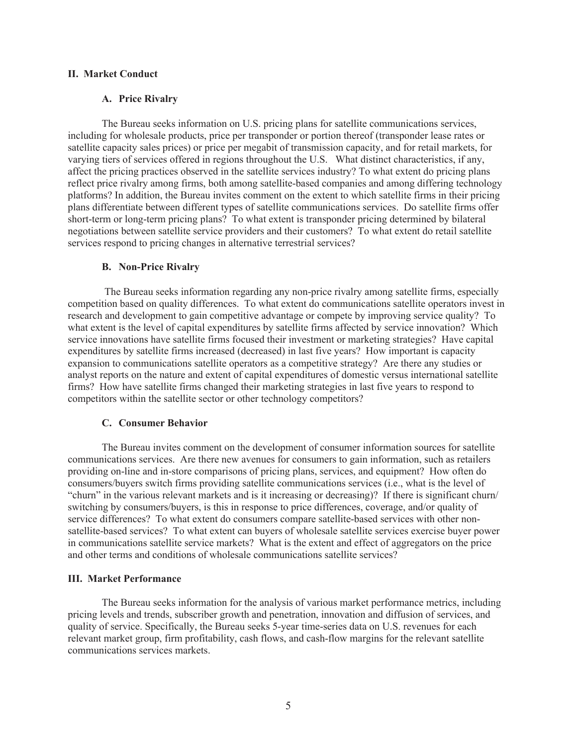## **II. Market Conduct**

## **A. Price Rivalry**

The Bureau seeks information on U.S. pricing plans for satellite communications services, including for wholesale products, price per transponder or portion thereof (transponder lease rates or satellite capacity sales prices) or price per megabit of transmission capacity, and for retail markets, for varying tiers of services offered in regions throughout the U.S. What distinct characteristics, if any, affect the pricing practices observed in the satellite services industry? To what extent do pricing plans reflect price rivalry among firms, both among satellite-based companies and among differing technology platforms? In addition, the Bureau invites comment on the extent to which satellite firms in their pricing plans differentiate between different types of satellite communications services. Do satellite firms offer short-term or long-term pricing plans? To what extent is transponder pricing determined by bilateral negotiations between satellite service providers and their customers? To what extent do retail satellite services respond to pricing changes in alternative terrestrial services?

#### **B. Non-Price Rivalry**

The Bureau seeks information regarding any non-price rivalry among satellite firms, especially competition based on quality differences. To what extent do communications satellite operators invest in research and development to gain competitive advantage or compete by improving service quality? To what extent is the level of capital expenditures by satellite firms affected by service innovation? Which service innovations have satellite firms focused their investment or marketing strategies? Have capital expenditures by satellite firms increased (decreased) in last five years? How important is capacity expansion to communications satellite operators as a competitive strategy? Are there any studies or analyst reports on the nature and extent of capital expenditures of domestic versus international satellite firms? How have satellite firms changed their marketing strategies in last five years to respond to competitors within the satellite sector or other technology competitors?

#### **C. Consumer Behavior**

The Bureau invites comment on the development of consumer information sources for satellite communications services. Are there new avenues for consumers to gain information, such as retailers providing on-line and in-store comparisons of pricing plans, services, and equipment? How often do consumers/buyers switch firms providing satellite communications services (i.e., what is the level of "churn" in the various relevant markets and is it increasing or decreasing)? If there is significant churn/ switching by consumers/buyers, is this in response to price differences, coverage, and/or quality of service differences? To what extent do consumers compare satellite-based services with other nonsatellite-based services? To what extent can buyers of wholesale satellite services exercise buyer power in communications satellite service markets? What is the extent and effect of aggregators on the price and other terms and conditions of wholesale communications satellite services?

#### **III. Market Performance**

The Bureau seeks information for the analysis of various market performance metrics, including pricing levels and trends, subscriber growth and penetration, innovation and diffusion of services, and quality of service. Specifically, the Bureau seeks 5-year time-series data on U.S. revenues for each relevant market group, firm profitability, cash flows, and cash-flow margins for the relevant satellite communications services markets.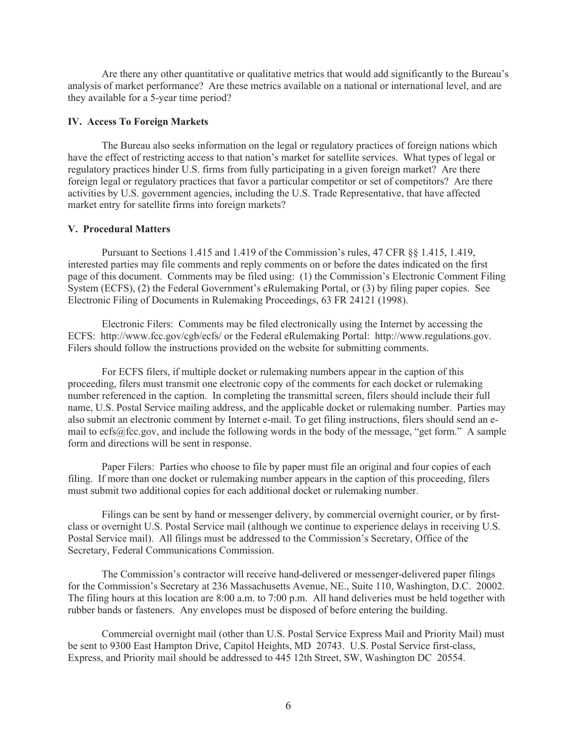Are there any other quantitative or qualitative metrics that would add significantly to the Bureau's analysis of market performance? Are these metrics available on a national or international level, and are they available for a 5-year time period?

## **IV. Access To Foreign Markets**

The Bureau also seeks information on the legal or regulatory practices of foreign nations which have the effect of restricting access to that nation's market for satellite services. What types of legal or regulatory practices hinder U.S. firms from fully participating in a given foreign market? Are there foreign legal or regulatory practices that favor a particular competitor or set of competitors? Are there activities by U.S. government agencies, including the U.S. Trade Representative, that have affected market entry for satellite firms into foreign markets?

## **V. Procedural Matters**

Pursuant to Sections 1.415 and 1.419 of the Commission's rules, 47 CFR §§ 1.415, 1.419, interested parties may file comments and reply comments on or before the dates indicated on the first page of this document. Comments may be filed using: (1) the Commission's Electronic Comment Filing System (ECFS), (2) the Federal Government's eRulemaking Portal, or (3) by filing paper copies. See Electronic Filing of Documents in Rulemaking Proceedings, 63 FR 24121 (1998).

Electronic Filers: Comments may be filed electronically using the Internet by accessing the ECFS: http://www.fcc.gov/cgb/ecfs/ or the Federal eRulemaking Portal: http://www.regulations.gov. Filers should follow the instructions provided on the website for submitting comments.

For ECFS filers, if multiple docket or rulemaking numbers appear in the caption of this proceeding, filers must transmit one electronic copy of the comments for each docket or rulemaking number referenced in the caption. In completing the transmittal screen, filers should include their full name, U.S. Postal Service mailing address, and the applicable docket or rulemaking number. Parties may also submit an electronic comment by Internet e-mail. To get filing instructions, filers should send an email to ecfs@fcc.gov, and include the following words in the body of the message, "get form." A sample form and directions will be sent in response.

Paper Filers: Parties who choose to file by paper must file an original and four copies of each filing. If more than one docket or rulemaking number appears in the caption of this proceeding, filers must submit two additional copies for each additional docket or rulemaking number.

Filings can be sent by hand or messenger delivery, by commercial overnight courier, or by firstclass or overnight U.S. Postal Service mail (although we continue to experience delays in receiving U.S. Postal Service mail). All filings must be addressed to the Commission's Secretary, Office of the Secretary, Federal Communications Commission.

The Commission's contractor will receive hand-delivered or messenger-delivered paper filings for the Commission's Secretary at 236 Massachusetts Avenue, NE., Suite 110, Washington, D.C. 20002. The filing hours at this location are 8:00 a.m. to 7:00 p.m. All hand deliveries must be held together with rubber bands or fasteners. Any envelopes must be disposed of before entering the building.

Commercial overnight mail (other than U.S. Postal Service Express Mail and Priority Mail) must be sent to 9300 East Hampton Drive, Capitol Heights, MD 20743. U.S. Postal Service first-class, Express, and Priority mail should be addressed to 445 12th Street, SW, Washington DC 20554.